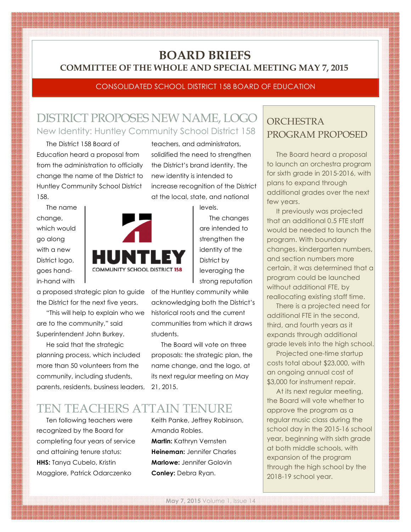## **BOARD BRIEFS COMMITTEE OF THE WHOLE AND SPECIAL MEETING MAY 7, 2015**

### CONSOLIDATED SCHOOL DISTRICT 158 BOARD OF EDUCATION

teachers, and administrators, solidified the need to strengthen the District's brand identity. The new identity is intended to

increase recognition of the District at the local, state, and national

levels.

The changes are intended to strengthen the identity of the District by leveraging the strong reputation

# DISTRICT PROPOSES NEW NAME, LOGO New Identity: Huntley Community School District 158

The District 158 Board of Education heard a proposal from from the administration to officially change the name of the District to Huntley Community School District 158.

The name change, which would go along with a new District logo, goes handin-hand with



a proposed strategic plan to guide of the Huntley community while the District for the next five years.

"This will help to explain who we are to the community," said Superintendent John Burkey.

He said that the strategic planning process, which included more than 50 volunteers from the community, including students, parents, residents, business leaders,

acknowledging both the District's historical roots and the current communities from which it draws students.

The Board will vote on three proposals: the strategic plan, the name change, and the logo, at its next regular meeting on May 21, 2015.

## TEN TEACHERS ATTAIN TENURE

Ten following teachers were recognized by the Board for completing four years of service and attaining tenure status: **HHS:** Tanya Cubelo, Kristin Maggiore, Patrick Odarczenko

Keith Panke, Jeffrey Robinson, Amanda Robles. **Martin:** Kathryn Vernsten **Heineman:** Jennifer Charles **Marlowe:** Jennifer Golovin **Conley:** Debra Ryan.

### **ORCHESTRA** PROGRAM PROPOSED

The Board heard a proposal to launch an orchestra program for sixth grade in 2015-2016, with plans to expand through additional grades over the next few years.

It previously was projected that an additional 0.5 FTE staff would be needed to launch the program. With boundary changes, kindergarten numbers, and section numbers more certain, it was determined that a program could be launched without additional FTE, by reallocating existing staff time.

There is a projected need for additional FTE in the second, third, and fourth years as it expands through additional grade levels into the high school.

Projected one-time startup costs total about \$23,000, with an ongoing annual cost of \$3,000 for instrument repair.

At its next regular meeting, the Board will vote whether to approve the program as a regular music class during the school day in the 2015-16 school year, beginning with sixth grade at both middle schools, with expansion of the program through the high school by the 2018-19 school year.